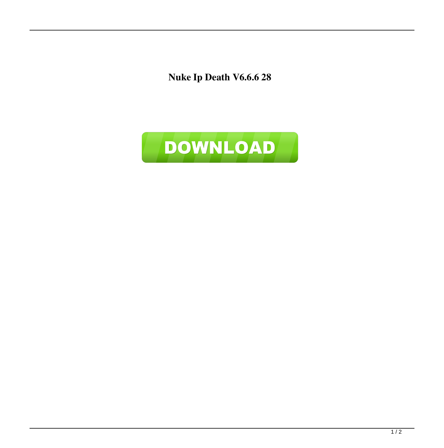**Nuke Ip Death V6.6.6 28**